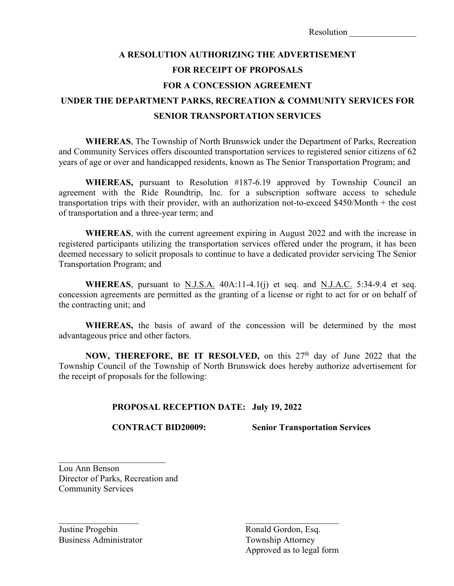| Resolution |  |  |  |  |
|------------|--|--|--|--|
|            |  |  |  |  |

## **A RESOLUTION AUTHORIZING THE ADVERTISEMENT FOR RECEIPT OF PROPOSALS FOR A CONCESSION AGREEMENT UNDER THE DEPARTMENT PARKS, RECREATION & COMMUNITY SERVICES FOR SENIOR TRANSPORTATION SERVICES**

**WHEREAS**, The Township of North Brunswick under the Department of Parks, Recreation and Community Services offers discounted transportation services to registered senior citizens of 62 years of age or over and handicapped residents, known as The Senior Transportation Program; and

**WHEREAS,** pursuant to Resolution #187-6.19 approved by Township Council an agreement with the Ride Roundtrip, Inc. for a subscription software access to schedule transportation trips with their provider, with an authorization not-to-exceed \$450/Month + the cost of transportation and a three-year term; and

**WHEREAS**, with the current agreement expiring in August 2022 and with the increase in registered participants utilizing the transportation services offered under the program, it has been deemed necessary to solicit proposals to continue to have a dedicated provider servicing The Senior Transportation Program; and

**WHEREAS**, pursuant to N.J.S.A. 40A:11-4.1(j) et seq. and N.J.A.C. 5:34-9.4 et seq. concession agreements are permitted as the granting of a license or right to act for or on behalf of the contracting unit; and

**WHEREAS,** the basis of award of the concession will be determined by the most advantageous price and other factors.

NOW, THEREFORE, BE IT RESOLVED, on this 27<sup>th</sup> day of June 2022 that the Township Council of the Township of North Brunswick does hereby authorize advertisement for the receipt of proposals for the following:

## **PROPOSAL RECEPTION DATE: July 19, 2022**

 $\mathcal{L}_\mathcal{L}$  , and the contribution of the contribution of  $\mathcal{L}_\mathcal{L}$ 

 **CONTRACT BID20009: Senior Transportation Services**

Lou Ann Benson Director of Parks, Recreation and Community Services

Justine Progebin<br>
Business Administrator<br>
Township Attorney

Township Attorney Approved as to legal form